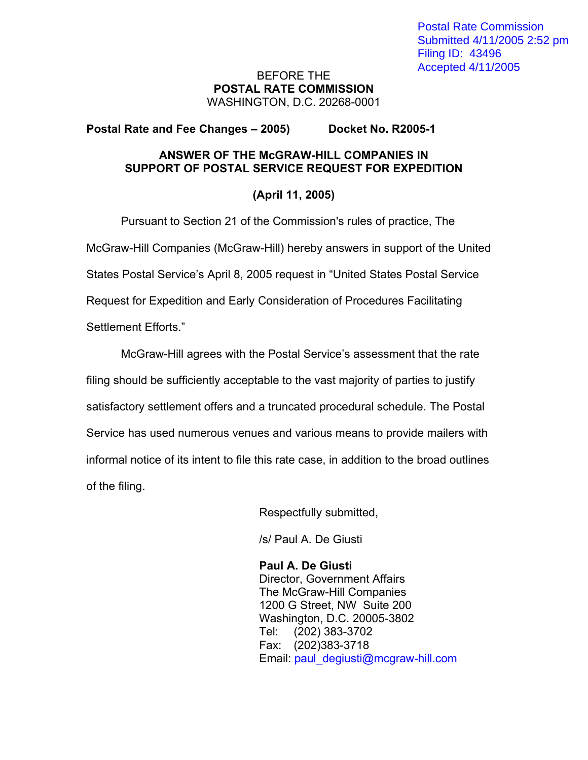Postal Rate Commission Submitted 4/11/2005 2:52 pm Filing ID: 43496 Accepted 4/11/2005

## BEFORE THE **POSTAL RATE COMMISSION**  WASHINGTON, D.C. 20268-0001

**Postal Rate and Fee Changes – 2005) Docket No. R2005-1** 

## **ANSWER OF THE McGRAW-HILL COMPANIES IN SUPPORT OF POSTAL SERVICE REQUEST FOR EXPEDITION**

## **(April 11, 2005)**

Pursuant to Section 21 of the Commission's rules of practice, The McGraw-Hill Companies (McGraw-Hill) hereby answers in support of the United States Postal Service's April 8, 2005 request in "United States Postal Service Request for Expedition and Early Consideration of Procedures Facilitating Settlement Efforts."

McGraw-Hill agrees with the Postal Service's assessment that the rate filing should be sufficiently acceptable to the vast majority of parties to justify satisfactory settlement offers and a truncated procedural schedule. The Postal Service has used numerous venues and various means to provide mailers with informal notice of its intent to file this rate case, in addition to the broad outlines of the filing.

Respectfully submitted,

/s/ Paul A. De Giusti

 **Paul A. De Giusti**  Director, Government Affairs The McGraw-Hill Companies 1200 G Street, NW Suite 200 Washington, D.C. 20005-3802 Tel: (202) 383-3702 Fax: (202)383-3718 Email: paul\_degiusti@mcgraw-hill.com